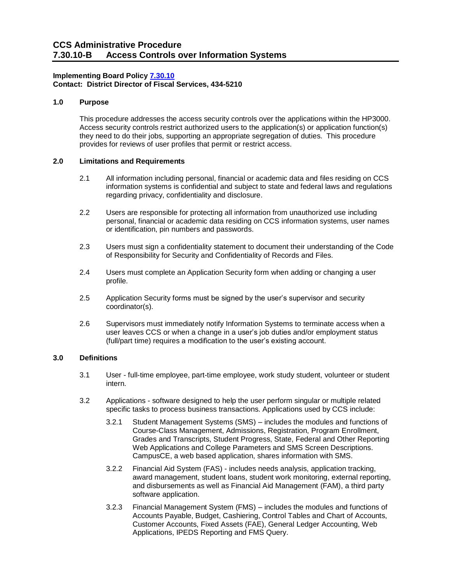# **Implementing Board Policy [7.30.10](https://ccs.spokane.edu/About-Us/Leadership/Board-of-Trustees/Policies-Procedures/Chapter7#AccWE2-5) Contact: District Director of Fiscal Services, 434-5210**

# **1.0 Purpose**

This procedure addresses the access security controls over the applications within the HP3000. Access security controls restrict authorized users to the application(s) or application function(s) they need to do their jobs, supporting an appropriate segregation of duties. This procedure provides for reviews of user profiles that permit or restrict access.

### **2.0 Limitations and Requirements**

- 2.1 All information including personal, financial or academic data and files residing on CCS information systems is confidential and subject to state and federal laws and regulations regarding privacy, confidentiality and disclosure.
- 2.2 Users are responsible for protecting all information from unauthorized use including personal, financial or academic data residing on CCS information systems, user names or identification, pin numbers and passwords.
- 2.3 Users must sign a confidentiality statement to document their understanding of the Code of Responsibility for Security and Confidentiality of Records and Files.
- 2.4 Users must complete an Application Security form when adding or changing a user profile.
- 2.5 Application Security forms must be signed by the user's supervisor and security coordinator(s).
- 2.6 Supervisors must immediately notify Information Systems to terminate access when a user leaves CCS or when a change in a user's job duties and/or employment status (full/part time) requires a modification to the user's existing account.

## **3.0 Definitions**

- 3.1 User full-time employee, part-time employee, work study student, volunteer or student intern.
- 3.2 Applications software designed to help the user perform singular or multiple related specific tasks to process business transactions. Applications used by CCS include:
	- 3.2.1 Student Management Systems (SMS) includes the modules and functions of Course-Class Management, Admissions, Registration, Program Enrollment, Grades and Transcripts, Student Progress, State, Federal and Other Reporting Web Applications and College Parameters and SMS Screen Descriptions. CampusCE, a web based application, shares information with SMS.
	- 3.2.2 Financial Aid System (FAS) includes needs analysis, application tracking, award management, student loans, student work monitoring, external reporting, and disbursements as well as Financial Aid Management (FAM), a third party software application.
	- 3.2.3 Financial Management System (FMS) includes the modules and functions of Accounts Payable, Budget, Cashiering, Control Tables and Chart of Accounts, Customer Accounts, Fixed Assets (FAE), General Ledger Accounting, Web Applications, IPEDS Reporting and FMS Query.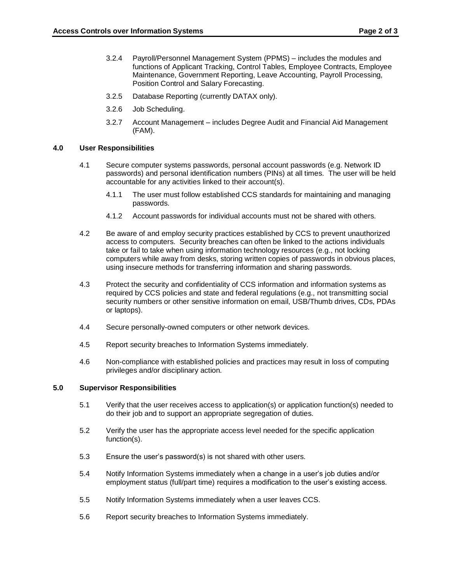- 3.2.4 Payroll/Personnel Management System (PPMS) includes the modules and functions of Applicant Tracking, Control Tables, Employee Contracts, Employee Maintenance, Government Reporting, Leave Accounting, Payroll Processing, Position Control and Salary Forecasting.
- 3.2.5 Database Reporting (currently DATAX only).
- 3.2.6 Job Scheduling.
- 3.2.7 Account Management includes Degree Audit and Financial Aid Management (FAM).

## **4.0 User Responsibilities**

- 4.1 Secure computer systems passwords, personal account passwords (e.g. Network ID passwords) and personal identification numbers (PINs) at all times. The user will be held accountable for any activities linked to their account(s).
	- 4.1.1 The user must follow established CCS standards for maintaining and managing passwords.
	- 4.1.2 Account passwords for individual accounts must not be shared with others.
- 4.2 Be aware of and employ security practices established by CCS to prevent unauthorized access to computers. Security breaches can often be linked to the actions individuals take or fail to take when using information technology resources (e.g., not locking computers while away from desks, storing written copies of passwords in obvious places, using insecure methods for transferring information and sharing passwords.
- 4.3 Protect the security and confidentiality of CCS information and information systems as required by CCS policies and state and federal regulations (e.g., not transmitting social security numbers or other sensitive information on email, USB/Thumb drives, CDs, PDAs or laptops).
- 4.4 Secure personally-owned computers or other network devices.
- 4.5 Report security breaches to Information Systems immediately.
- 4.6 Non-compliance with established policies and practices may result in loss of computing privileges and/or disciplinary action.

## **5.0 Supervisor Responsibilities**

- 5.1 Verify that the user receives access to application(s) or application function(s) needed to do their job and to support an appropriate segregation of duties.
- 5.2 Verify the user has the appropriate access level needed for the specific application function(s).
- 5.3 Ensure the user's password(s) is not shared with other users.
- 5.4 Notify Information Systems immediately when a change in a user's job duties and/or employment status (full/part time) requires a modification to the user's existing access.
- 5.5 Notify Information Systems immediately when a user leaves CCS.
- 5.6 Report security breaches to Information Systems immediately.